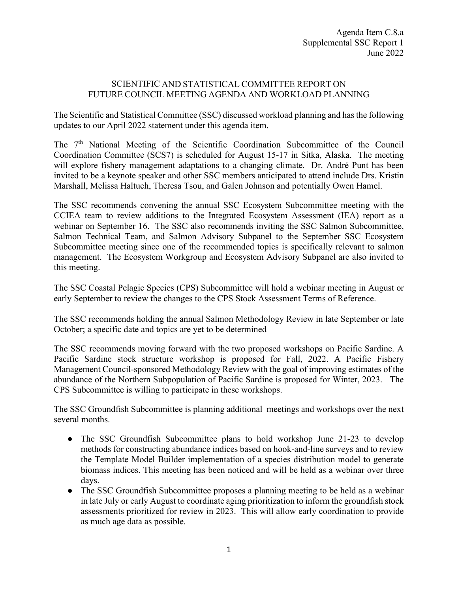## SCIENTIFIC AND STATISTICAL COMMITTEE REPORT ON FUTURE COUNCIL MEETING AGENDA AND WORKLOAD PLANNING

The Scientific and Statistical Committee (SSC) discussed workload planning and has the following updates to our April 2022 statement under this agenda item.

The  $7<sup>th</sup>$  National Meeting of the Scientific Coordination Subcommittee of the Council Coordination Committee (SCS7) is scheduled for August 15-17 in Sitka, Alaska. The meeting will explore fishery management adaptations to a changing climate. Dr. André Punt has been invited to be a keynote speaker and other SSC members anticipated to attend include Drs. Kristin Marshall, Melissa Haltuch, Theresa Tsou, and Galen Johnson and potentially Owen Hamel.

The SSC recommends convening the annual SSC Ecosystem Subcommittee meeting with the CCIEA team to review additions to the Integrated Ecosystem Assessment (IEA) report as a webinar on September 16. The SSC also recommends inviting the SSC Salmon Subcommittee, Salmon Technical Team, and Salmon Advisory Subpanel to the September SSC Ecosystem Subcommittee meeting since one of the recommended topics is specifically relevant to salmon management. The Ecosystem Workgroup and Ecosystem Advisory Subpanel are also invited to this meeting.

The SSC Coastal Pelagic Species (CPS) Subcommittee will hold a webinar meeting in August or early September to review the changes to the CPS Stock Assessment Terms of Reference.

The SSC recommends holding the annual Salmon Methodology Review in late September or late October; a specific date and topics are yet to be determined

The SSC recommends moving forward with the two proposed workshops on Pacific Sardine. A Pacific Sardine stock structure workshop is proposed for Fall, 2022. A Pacific Fishery Management Council-sponsored Methodology Review with the goal of improving estimates of the abundance of the Northern Subpopulation of Pacific Sardine is proposed for Winter, 2023. The CPS Subcommittee is willing to participate in these workshops.

The SSC Groundfish Subcommittee is planning additional meetings and workshops over the next several months.

- The SSC Groundfish Subcommittee plans to hold workshop June 21-23 to develop methods for constructing abundance indices based on hook-and-line surveys and to review the Template Model Builder implementation of a species distribution model to generate biomass indices. This meeting has been noticed and will be held as a webinar over three days.
- The SSC Groundfish Subcommittee proposes a planning meeting to be held as a webinar in late July or early August to coordinate aging prioritization to inform the groundfish stock assessments prioritized for review in 2023. This will allow early coordination to provide as much age data as possible.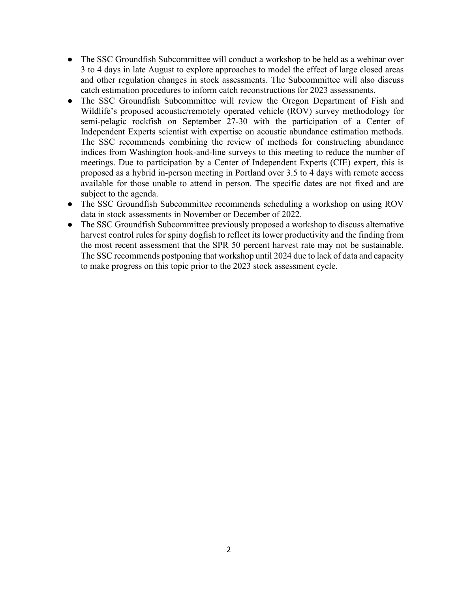- The SSC Groundfish Subcommittee will conduct a workshop to be held as a webinar over 3 to 4 days in late August to explore approaches to model the effect of large closed areas and other regulation changes in stock assessments. The Subcommittee will also discuss catch estimation procedures to inform catch reconstructions for 2023 assessments.
- The SSC Groundfish Subcommittee will review the Oregon Department of Fish and Wildlife's proposed acoustic/remotely operated vehicle (ROV) survey methodology for semi-pelagic rockfish on September 27-30 with the participation of a Center of Independent Experts scientist with expertise on acoustic abundance estimation methods. The SSC recommends combining the review of methods for constructing abundance indices from Washington hook-and-line surveys to this meeting to reduce the number of meetings. Due to participation by a Center of Independent Experts (CIE) expert, this is proposed as a hybrid in-person meeting in Portland over 3.5 to 4 days with remote access available for those unable to attend in person. The specific dates are not fixed and are subject to the agenda.
- The SSC Groundfish Subcommittee recommends scheduling a workshop on using ROV data in stock assessments in November or December of 2022.
- The SSC Groundfish Subcommittee previously proposed a workshop to discuss alternative harvest control rules for spiny dogfish to reflect its lower productivity and the finding from the most recent assessment that the SPR 50 percent harvest rate may not be sustainable. The SSC recommends postponing that workshop until 2024 due to lack of data and capacity to make progress on this topic prior to the 2023 stock assessment cycle.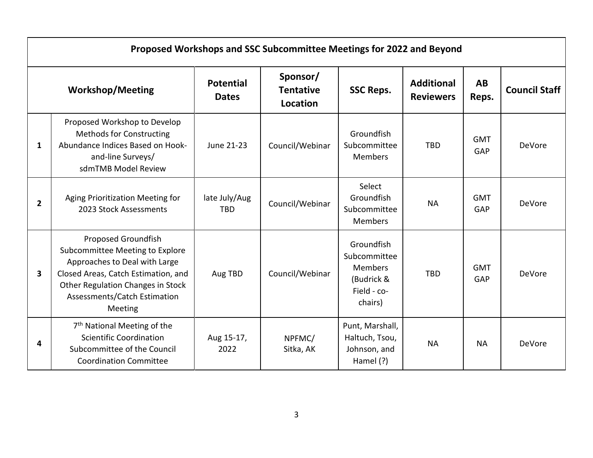| Proposed Workshops and SSC Subcommittee Meetings for 2022 and Beyond |                                                                                                                                                                                                                |                                  |                                          |                                                                                      |                                       |                    |                      |  |
|----------------------------------------------------------------------|----------------------------------------------------------------------------------------------------------------------------------------------------------------------------------------------------------------|----------------------------------|------------------------------------------|--------------------------------------------------------------------------------------|---------------------------------------|--------------------|----------------------|--|
| <b>Workshop/Meeting</b>                                              |                                                                                                                                                                                                                | <b>Potential</b><br><b>Dates</b> | Sponsor/<br><b>Tentative</b><br>Location | <b>SSC Reps.</b>                                                                     | <b>Additional</b><br><b>Reviewers</b> | <b>AB</b><br>Reps. | <b>Council Staff</b> |  |
| 1                                                                    | Proposed Workshop to Develop<br><b>Methods for Constructing</b><br>Abundance Indices Based on Hook-<br>and-line Surveys/<br>sdmTMB Model Review                                                                | June 21-23                       | Council/Webinar                          | Groundfish<br>Subcommittee<br><b>Members</b>                                         | <b>TBD</b>                            | <b>GMT</b><br>GAP  | DeVore               |  |
| $\overline{2}$                                                       | Aging Prioritization Meeting for<br>2023 Stock Assessments                                                                                                                                                     | late July/Aug<br><b>TBD</b>      | Council/Webinar                          | Select<br>Groundfish<br>Subcommittee<br><b>Members</b>                               | <b>NA</b>                             | <b>GMT</b><br>GAP  | DeVore               |  |
| 3                                                                    | Proposed Groundfish<br>Subcommittee Meeting to Explore<br>Approaches to Deal with Large<br>Closed Areas, Catch Estimation, and<br>Other Regulation Changes in Stock<br>Assessments/Catch Estimation<br>Meeting | Aug TBD                          | Council/Webinar                          | Groundfish<br>Subcommittee<br><b>Members</b><br>(Budrick &<br>Field - co-<br>chairs) | <b>TBD</b>                            | <b>GMT</b><br>GAP  | DeVore               |  |
| 4                                                                    | 7 <sup>th</sup> National Meeting of the<br><b>Scientific Coordination</b><br>Subcommittee of the Council<br><b>Coordination Committee</b>                                                                      | Aug 15-17,<br>2022               | NPFMC/<br>Sitka, AK                      | Punt, Marshall,<br>Haltuch, Tsou,<br>Johnson, and<br>Hamel (?)                       | <b>NA</b>                             | <b>NA</b>          | DeVore               |  |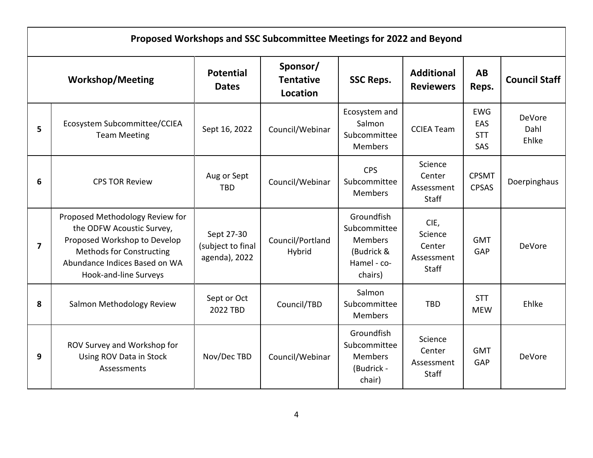| Proposed Workshops and SSC Subcommittee Meetings for 2022 and Beyond |                                                                                                                                                                                           |                                                  |                                          |                                                                                      |                                                         |                                        |                         |  |
|----------------------------------------------------------------------|-------------------------------------------------------------------------------------------------------------------------------------------------------------------------------------------|--------------------------------------------------|------------------------------------------|--------------------------------------------------------------------------------------|---------------------------------------------------------|----------------------------------------|-------------------------|--|
| <b>Workshop/Meeting</b>                                              |                                                                                                                                                                                           | <b>Potential</b><br><b>Dates</b>                 | Sponsor/<br><b>Tentative</b><br>Location | <b>SSC Reps.</b>                                                                     | <b>Additional</b><br><b>Reviewers</b>                   | <b>AB</b><br>Reps.                     | <b>Council Staff</b>    |  |
| 5                                                                    | Ecosystem Subcommittee/CCIEA<br><b>Team Meeting</b>                                                                                                                                       | Sept 16, 2022                                    | Council/Webinar                          | Ecosystem and<br>Salmon<br>Subcommittee<br><b>Members</b>                            | <b>CCIEA Team</b>                                       | <b>EWG</b><br>EAS<br><b>STT</b><br>SAS | DeVore<br>Dahl<br>Ehlke |  |
| 6                                                                    | <b>CPS TOR Review</b>                                                                                                                                                                     | Aug or Sept<br><b>TBD</b>                        | Council/Webinar                          | <b>CPS</b><br>Subcommittee<br><b>Members</b>                                         | Science<br>Center<br>Assessment<br>Staff                | <b>CPSMT</b><br><b>CPSAS</b>           | Doerpinghaus            |  |
| $\overline{7}$                                                       | Proposed Methodology Review for<br>the ODFW Acoustic Survey,<br>Proposed Workshop to Develop<br><b>Methods for Constructing</b><br>Abundance Indices Based on WA<br>Hook-and-line Surveys | Sept 27-30<br>(subject to final<br>agenda), 2022 | Council/Portland<br>Hybrid               | Groundfish<br>Subcommittee<br><b>Members</b><br>(Budrick &<br>Hamel - co-<br>chairs) | CIE,<br>Science<br>Center<br>Assessment<br><b>Staff</b> | <b>GMT</b><br>GAP                      | DeVore                  |  |
| 8                                                                    | Salmon Methodology Review                                                                                                                                                                 | Sept or Oct<br>2022 TBD                          | Council/TBD                              | Salmon<br>Subcommittee<br><b>Members</b>                                             | <b>TBD</b>                                              | <b>STT</b><br><b>MEW</b>               | Ehlke                   |  |
| 9                                                                    | ROV Survey and Workshop for<br>Using ROV Data in Stock<br>Assessments                                                                                                                     | Nov/Dec TBD                                      | Council/Webinar                          | Groundfish<br>Subcommittee<br><b>Members</b><br>(Budrick -<br>chair)                 | Science<br>Center<br>Assessment<br><b>Staff</b>         | <b>GMT</b><br>GAP                      | DeVore                  |  |